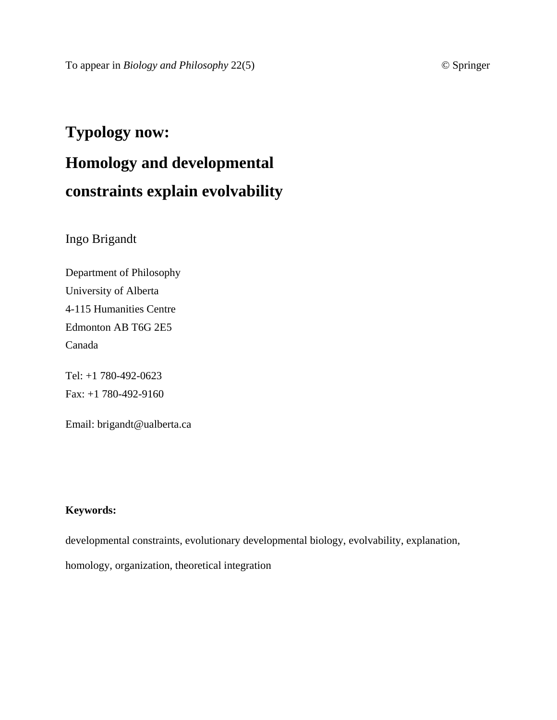# **Typology now: Homology and developmental constraints explain evolvability**

Ingo Brigandt

Department of Philosophy University of Alberta 4-115 Humanities Centre Edmonton AB T6G 2E5 Canada

Tel: +1 780-492-0623 Fax: +1 780-492-9160

Email: brigandt@ualberta.ca

### **Keywords:**

developmental constraints, evolutionary developmental biology, evolvability, explanation,

homology, organization, theoretical integration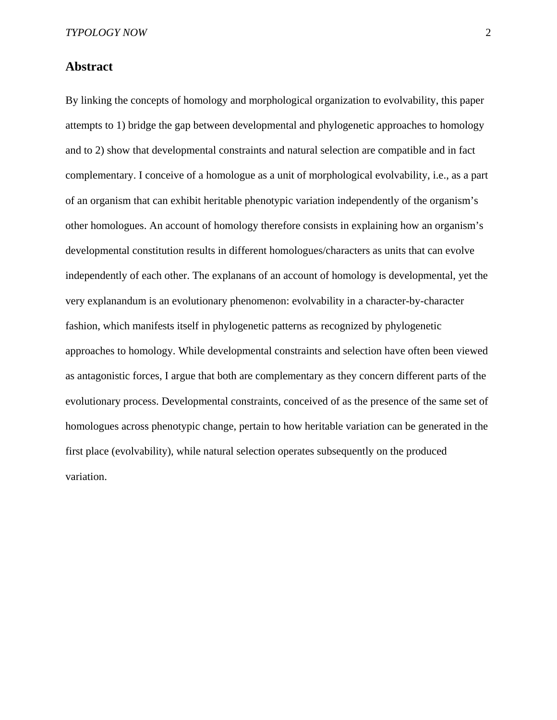# **Abstract**

By linking the concepts of homology and morphological organization to evolvability, this paper attempts to 1) bridge the gap between developmental and phylogenetic approaches to homology and to 2) show that developmental constraints and natural selection are compatible and in fact complementary. I conceive of a homologue as a unit of morphological evolvability, i.e., as a part of an organism that can exhibit heritable phenotypic variation independently of the organism's other homologues. An account of homology therefore consists in explaining how an organism's developmental constitution results in different homologues/characters as units that can evolve independently of each other. The explanans of an account of homology is developmental, yet the very explanandum is an evolutionary phenomenon: evolvability in a character-by-character fashion, which manifests itself in phylogenetic patterns as recognized by phylogenetic approaches to homology. While developmental constraints and selection have often been viewed as antagonistic forces, I argue that both are complementary as they concern different parts of the evolutionary process. Developmental constraints, conceived of as the presence of the same set of homologues across phenotypic change, pertain to how heritable variation can be generated in the first place (evolvability), while natural selection operates subsequently on the produced variation.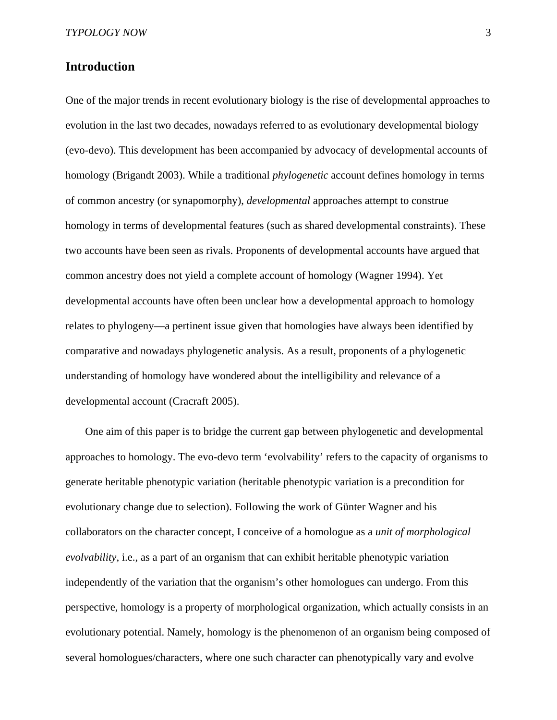# **Introduction**

One of the major trends in recent evolutionary biology is the rise of developmental approaches to evolution in the last two decades, nowadays referred to as evolutionary developmental biology (evo-devo). This development has been accompanied by advocacy of developmental accounts of homology (Brigandt 2003). While a traditional *phylogenetic* account defines homology in terms of common ancestry (or synapomorphy), *developmental* approaches attempt to construe homology in terms of developmental features (such as shared developmental constraints). These two accounts have been seen as rivals. Proponents of developmental accounts have argued that common ancestry does not yield a complete account of homology (Wagner 1994). Yet developmental accounts have often been unclear how a developmental approach to homology relates to phylogeny—a pertinent issue given that homologies have always been identified by comparative and nowadays phylogenetic analysis. As a result, proponents of a phylogenetic understanding of homology have wondered about the intelligibility and relevance of a developmental account (Cracraft 2005).

One aim of this paper is to bridge the current gap between phylogenetic and developmental approaches to homology. The evo-devo term 'evolvability' refers to the capacity of organisms to generate heritable phenotypic variation (heritable phenotypic variation is a precondition for evolutionary change due to selection). Following the work of Günter Wagner and his collaborators on the character concept, I conceive of a homologue as a *unit of morphological evolvability*, i.e., as a part of an organism that can exhibit heritable phenotypic variation independently of the variation that the organism's other homologues can undergo. From this perspective, homology is a property of morphological organization, which actually consists in an evolutionary potential. Namely, homology is the phenomenon of an organism being composed of several homologues/characters, where one such character can phenotypically vary and evolve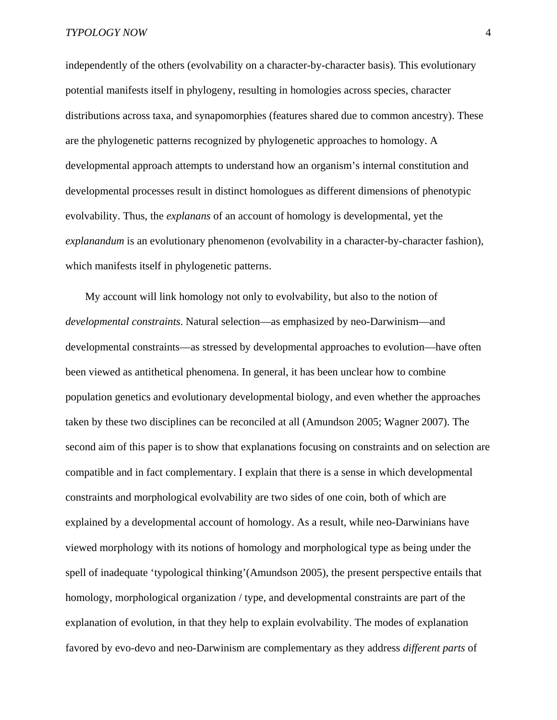independently of the others (evolvability on a character-by-character basis). This evolutionary potential manifests itself in phylogeny, resulting in homologies across species, character distributions across taxa, and synapomorphies (features shared due to common ancestry). These are the phylogenetic patterns recognized by phylogenetic approaches to homology. A developmental approach attempts to understand how an organism's internal constitution and developmental processes result in distinct homologues as different dimensions of phenotypic evolvability. Thus, the *explanans* of an account of homology is developmental, yet the *explanandum* is an evolutionary phenomenon (evolvability in a character-by-character fashion), which manifests itself in phylogenetic patterns.

My account will link homology not only to evolvability, but also to the notion of *developmental constraints*. Natural selection—as emphasized by neo-Darwinism—and developmental constraints—as stressed by developmental approaches to evolution—have often been viewed as antithetical phenomena. In general, it has been unclear how to combine population genetics and evolutionary developmental biology, and even whether the approaches taken by these two disciplines can be reconciled at all (Amundson 2005; Wagner 2007). The second aim of this paper is to show that explanations focusing on constraints and on selection are compatible and in fact complementary. I explain that there is a sense in which developmental constraints and morphological evolvability are two sides of one coin, both of which are explained by a developmental account of homology. As a result, while neo-Darwinians have viewed morphology with its notions of homology and morphological type as being under the spell of inadequate 'typological thinking'(Amundson 2005), the present perspective entails that homology, morphological organization / type, and developmental constraints are part of the explanation of evolution, in that they help to explain evolvability. The modes of explanation favored by evo-devo and neo-Darwinism are complementary as they address *different parts* of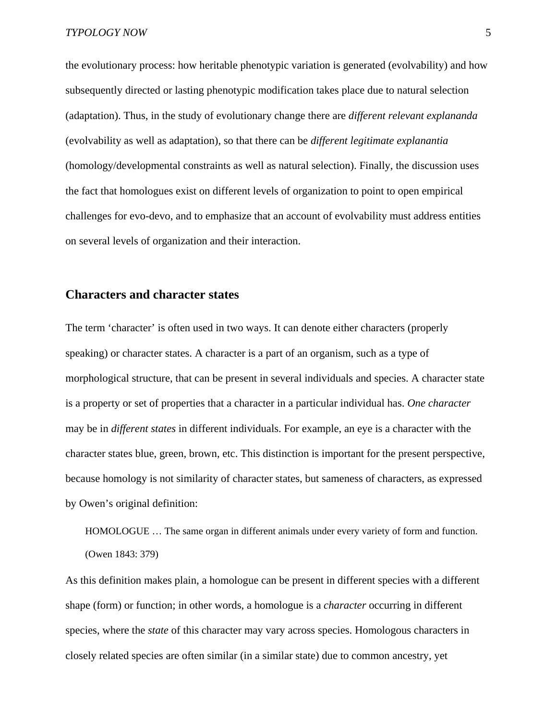the evolutionary process: how heritable phenotypic variation is generated (evolvability) and how subsequently directed or lasting phenotypic modification takes place due to natural selection (adaptation). Thus, in the study of evolutionary change there are *different relevant explananda* (evolvability as well as adaptation), so that there can be *different legitimate explanantia* (homology/developmental constraints as well as natural selection). Finally, the discussion uses the fact that homologues exist on different levels of organization to point to open empirical challenges for evo-devo, and to emphasize that an account of evolvability must address entities on several levels of organization and their interaction.

### **Characters and character states**

The term 'character' is often used in two ways. It can denote either characters (properly speaking) or character states. A character is a part of an organism, such as a type of morphological structure, that can be present in several individuals and species. A character state is a property or set of properties that a character in a particular individual has. *One character* may be in *different states* in different individuals. For example, an eye is a character with the character states blue, green, brown, etc. This distinction is important for the present perspective, because homology is not similarity of character states, but sameness of characters, as expressed by Owen's original definition:

HOMOLOGUE … The same organ in different animals under every variety of form and function. (Owen 1843: 379)

As this definition makes plain, a homologue can be present in different species with a different shape (form) or function; in other words, a homologue is a *character* occurring in different species, where the *state* of this character may vary across species. Homologous characters in closely related species are often similar (in a similar state) due to common ancestry, yet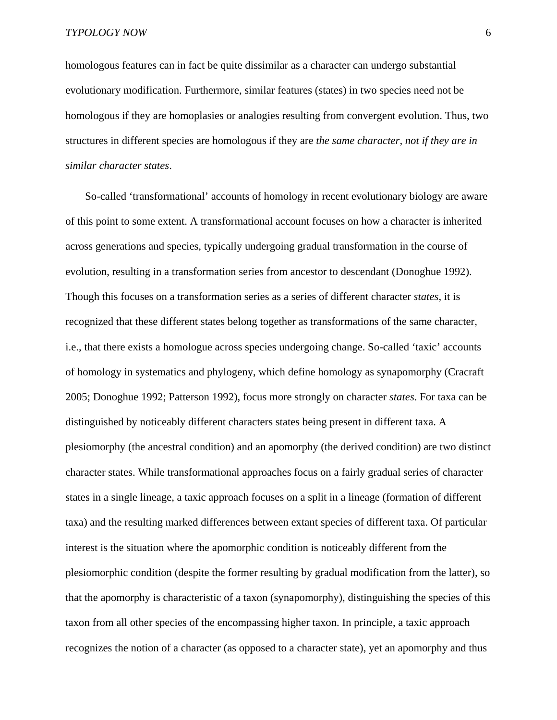homologous features can in fact be quite dissimilar as a character can undergo substantial evolutionary modification. Furthermore, similar features (states) in two species need not be homologous if they are homoplasies or analogies resulting from convergent evolution. Thus, two structures in different species are homologous if they are *the same character, not if they are in similar character states*.

So-called 'transformational' accounts of homology in recent evolutionary biology are aware of this point to some extent. A transformational account focuses on how a character is inherited across generations and species, typically undergoing gradual transformation in the course of evolution, resulting in a transformation series from ancestor to descendant (Donoghue 1992). Though this focuses on a transformation series as a series of different character *states*, it is recognized that these different states belong together as transformations of the same character, i.e., that there exists a homologue across species undergoing change. So-called 'taxic' accounts of homology in systematics and phylogeny, which define homology as synapomorphy (Cracraft 2005; Donoghue 1992; Patterson 1992), focus more strongly on character *states*. For taxa can be distinguished by noticeably different characters states being present in different taxa. A plesiomorphy (the ancestral condition) and an apomorphy (the derived condition) are two distinct character states. While transformational approaches focus on a fairly gradual series of character states in a single lineage, a taxic approach focuses on a split in a lineage (formation of different taxa) and the resulting marked differences between extant species of different taxa. Of particular interest is the situation where the apomorphic condition is noticeably different from the plesiomorphic condition (despite the former resulting by gradual modification from the latter), so that the apomorphy is characteristic of a taxon (synapomorphy), distinguishing the species of this taxon from all other species of the encompassing higher taxon. In principle, a taxic approach recognizes the notion of a character (as opposed to a character state), yet an apomorphy and thus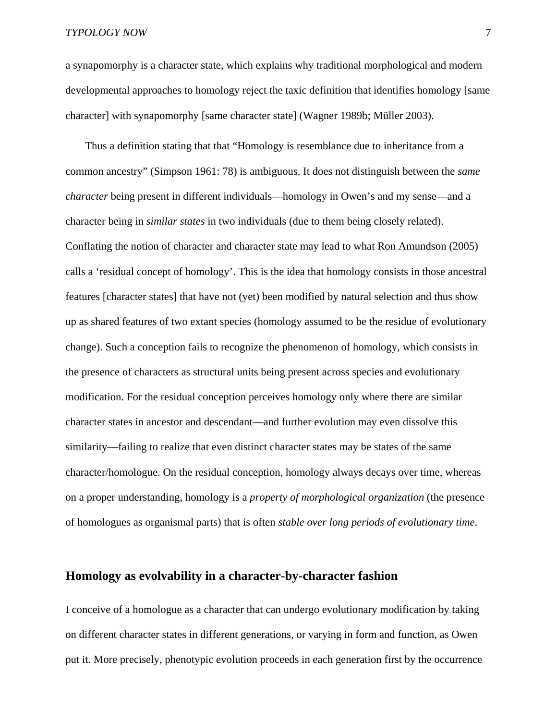a synapomorphy is a character state, which explains why traditional morphological and modern developmental approaches to homology reject the taxic definition that identifies homology [same character] with synapomorphy [same character state] (Wagner 1989b; Müller 2003).

Thus a definition stating that that "Homology is resemblance due to inheritance from a common ancestry" (Simpson 1961: 78) is ambiguous. It does not distinguish between the *same character* being present in different individuals—homology in Owen's and my sense—and a character being in *similar states* in two individuals (due to them being closely related). Conflating the notion of character and character state may lead to what Ron Amundson (2005) calls a 'residual concept of homology'. This is the idea that homology consists in those ancestral features [character states] that have not (yet) been modified by natural selection and thus show up as shared features of two extant species (homology assumed to be the residue of evolutionary change). Such a conception fails to recognize the phenomenon of homology, which consists in the presence of characters as structural units being present across species and evolutionary modification. For the residual conception perceives homology only where there are similar character states in ancestor and descendant—and further evolution may even dissolve this similarity—failing to realize that even distinct character states may be states of the same character/homologue. On the residual conception, homology always decays over time, whereas on a proper understanding, homology is a *property of morphological organization* (the presence of homologues as organismal parts) that is often *stable over long periods of evolutionary time*.

# **Homology as evolvability in a character-by-character fashion**

I conceive of a homologue as a character that can undergo evolutionary modification by taking on different character states in different generations, or varying in form and function, as Owen put it. More precisely, phenotypic evolution proceeds in each generation first by the occurrence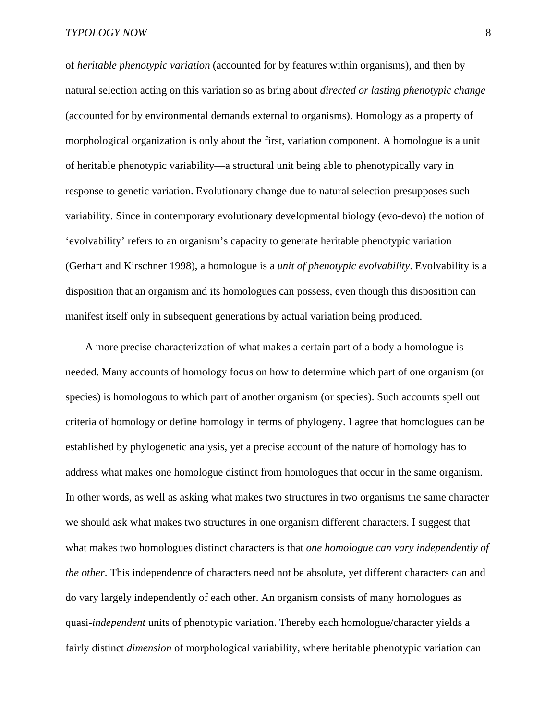of *heritable phenotypic variation* (accounted for by features within organisms), and then by natural selection acting on this variation so as bring about *directed or lasting phenotypic change* (accounted for by environmental demands external to organisms). Homology as a property of morphological organization is only about the first, variation component. A homologue is a unit of heritable phenotypic variability—a structural unit being able to phenotypically vary in response to genetic variation. Evolutionary change due to natural selection presupposes such variability. Since in contemporary evolutionary developmental biology (evo-devo) the notion of 'evolvability' refers to an organism's capacity to generate heritable phenotypic variation (Gerhart and Kirschner 1998), a homologue is a *unit of phenotypic evolvability*. Evolvability is a disposition that an organism and its homologues can possess, even though this disposition can manifest itself only in subsequent generations by actual variation being produced.

A more precise characterization of what makes a certain part of a body a homologue is needed. Many accounts of homology focus on how to determine which part of one organism (or species) is homologous to which part of another organism (or species). Such accounts spell out criteria of homology or define homology in terms of phylogeny. I agree that homologues can be established by phylogenetic analysis, yet a precise account of the nature of homology has to address what makes one homologue distinct from homologues that occur in the same organism. In other words, as well as asking what makes two structures in two organisms the same character we should ask what makes two structures in one organism different characters. I suggest that what makes two homologues distinct characters is that *one homologue can vary independently of the other*. This independence of characters need not be absolute, yet different characters can and do vary largely independently of each other. An organism consists of many homologues as quasi-*independent* units of phenotypic variation. Thereby each homologue/character yields a fairly distinct *dimension* of morphological variability, where heritable phenotypic variation can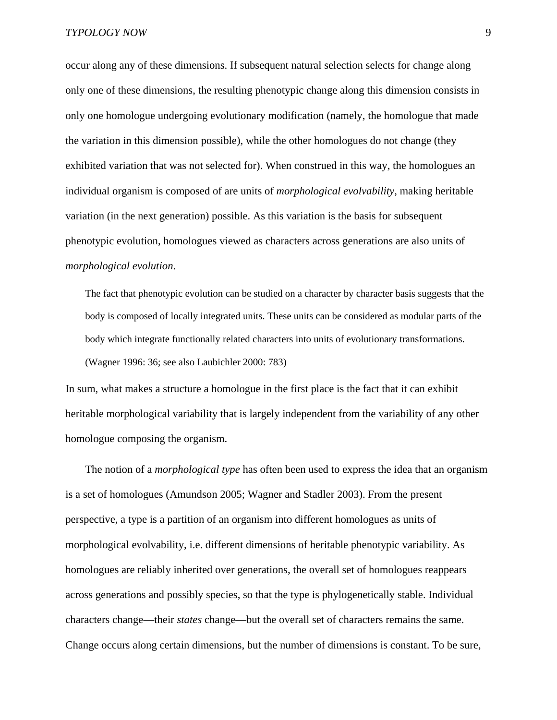occur along any of these dimensions. If subsequent natural selection selects for change along only one of these dimensions, the resulting phenotypic change along this dimension consists in only one homologue undergoing evolutionary modification (namely, the homologue that made the variation in this dimension possible), while the other homologues do not change (they exhibited variation that was not selected for). When construed in this way, the homologues an individual organism is composed of are units of *morphological evolvability*, making heritable variation (in the next generation) possible. As this variation is the basis for subsequent phenotypic evolution, homologues viewed as characters across generations are also units of *morphological evolution*.

The fact that phenotypic evolution can be studied on a character by character basis suggests that the body is composed of locally integrated units. These units can be considered as modular parts of the body which integrate functionally related characters into units of evolutionary transformations. (Wagner 1996: 36; see also Laubichler 2000: 783)

In sum, what makes a structure a homologue in the first place is the fact that it can exhibit heritable morphological variability that is largely independent from the variability of any other homologue composing the organism.

The notion of a *morphological type* has often been used to express the idea that an organism is a set of homologues (Amundson 2005; Wagner and Stadler 2003). From the present perspective, a type is a partition of an organism into different homologues as units of morphological evolvability, i.e. different dimensions of heritable phenotypic variability. As homologues are reliably inherited over generations, the overall set of homologues reappears across generations and possibly species, so that the type is phylogenetically stable. Individual characters change—their *states* change—but the overall set of characters remains the same. Change occurs along certain dimensions, but the number of dimensions is constant. To be sure,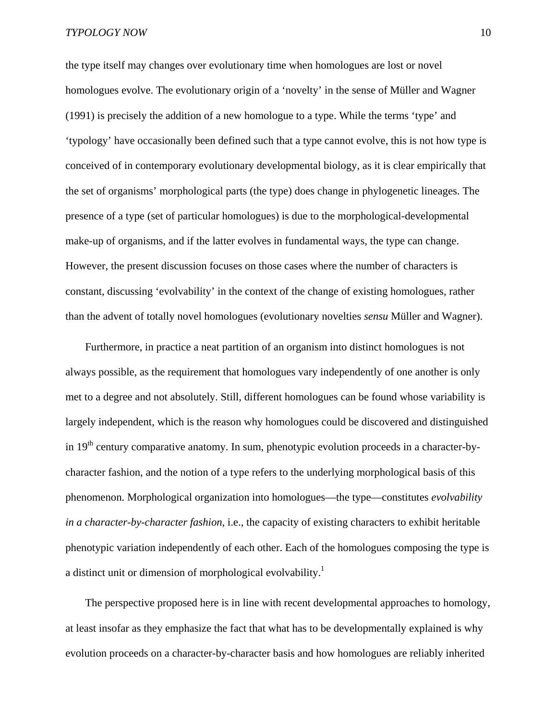the type itself may changes over evolutionary time when homologues are lost or novel homologues evolve. The evolutionary origin of a 'novelty' in the sense of Müller and Wagner (1991) is precisely the addition of a new homologue to a type. While the terms 'type' and 'typology' have occasionally been defined such that a type cannot evolve, this is not how type is conceived of in contemporary evolutionary developmental biology, as it is clear empirically that the set of organisms' morphological parts (the type) does change in phylogenetic lineages. The presence of a type (set of particular homologues) is due to the morphological-developmental make-up of organisms, and if the latter evolves in fundamental ways, the type can change. However, the present discussion focuses on those cases where the number of characters is constant, discussing 'evolvability' in the context of the change of existing homologues, rather than the advent of totally novel homologues (evolutionary novelties *sensu* Müller and Wagner).

Furthermore, in practice a neat partition of an organism into distinct homologues is not always possible, as the requirement that homologues vary independently of one another is only met to a degree and not absolutely. Still, different homologues can be found whose variability is largely independent, which is the reason why homologues could be discovered and distinguished in  $19<sup>th</sup>$  century comparative anatomy. In sum, phenotypic evolution proceeds in a character-bycharacter fashion, and the notion of a type refers to the underlying morphological basis of this phenomenon. Morphological organization into homologues—the type—constitutes *evolvability in a character-by-character fashion*, i.e., the capacity of existing characters to exhibit heritable phenotypic variation independently of each other. Each of the homologues composing the type is a distinct unit or dimension of morphological evolvability.<sup>1</sup>

The perspective proposed here is in line with recent developmental approaches to homology, at least insofar as they emphasize the fact that what has to be developmentally explained is why evolution proceeds on a character-by-character basis and how homologues are reliably inherited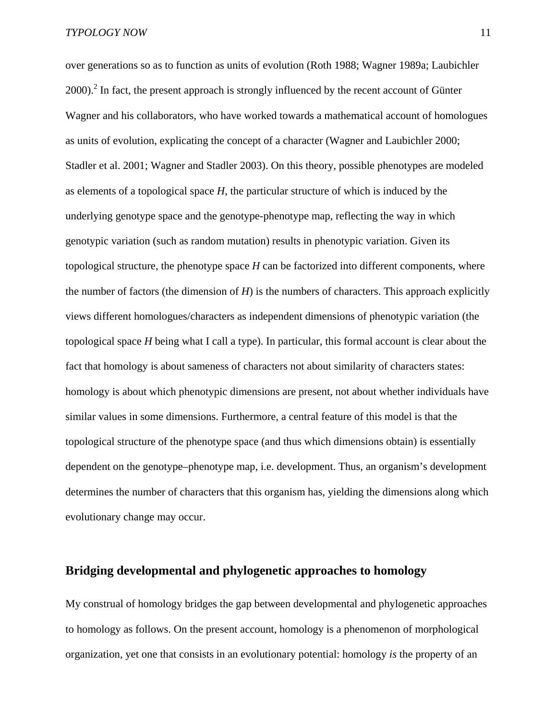over generations so as to function as units of evolution (Roth 1988; Wagner 1989a; Laubichler  $2000$ ).<sup>2</sup> In fact, the present approach is strongly influenced by the recent account of Günter Wagner and his collaborators, who have worked towards a mathematical account of homologues as units of evolution, explicating the concept of a character (Wagner and Laubichler 2000; Stadler et al. 2001; Wagner and Stadler 2003). On this theory, possible phenotypes are modeled as elements of a topological space *H*, the particular structure of which is induced by the underlying genotype space and the genotype-phenotype map, reflecting the way in which genotypic variation (such as random mutation) results in phenotypic variation. Given its topological structure, the phenotype space *H* can be factorized into different components, where the number of factors (the dimension of *H*) is the numbers of characters. This approach explicitly views different homologues/characters as independent dimensions of phenotypic variation (the topological space *H* being what I call a type). In particular, this formal account is clear about the fact that homology is about sameness of characters not about similarity of characters states: homology is about which phenotypic dimensions are present, not about whether individuals have similar values in some dimensions. Furthermore, a central feature of this model is that the topological structure of the phenotype space (and thus which dimensions obtain) is essentially dependent on the genotype–phenotype map, i.e. development. Thus, an organism's development determines the number of characters that this organism has, yielding the dimensions along which evolutionary change may occur.

# **Bridging developmental and phylogenetic approaches to homology**

My construal of homology bridges the gap between developmental and phylogenetic approaches to homology as follows. On the present account, homology is a phenomenon of morphological organization, yet one that consists in an evolutionary potential: homology *is* the property of an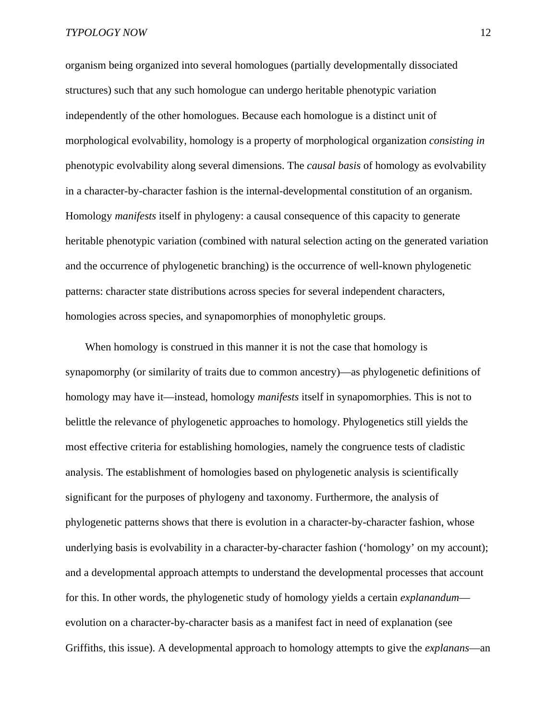organism being organized into several homologues (partially developmentally dissociated structures) such that any such homologue can undergo heritable phenotypic variation independently of the other homologues. Because each homologue is a distinct unit of morphological evolvability, homology is a property of morphological organization *consisting in* phenotypic evolvability along several dimensions. The *causal basis* of homology as evolvability in a character-by-character fashion is the internal-developmental constitution of an organism. Homology *manifests* itself in phylogeny: a causal consequence of this capacity to generate heritable phenotypic variation (combined with natural selection acting on the generated variation and the occurrence of phylogenetic branching) is the occurrence of well-known phylogenetic patterns: character state distributions across species for several independent characters, homologies across species, and synapomorphies of monophyletic groups.

When homology is construed in this manner it is not the case that homology is synapomorphy (or similarity of traits due to common ancestry)—as phylogenetic definitions of homology may have it—instead, homology *manifests* itself in synapomorphies. This is not to belittle the relevance of phylogenetic approaches to homology. Phylogenetics still yields the most effective criteria for establishing homologies, namely the congruence tests of cladistic analysis. The establishment of homologies based on phylogenetic analysis is scientifically significant for the purposes of phylogeny and taxonomy. Furthermore, the analysis of phylogenetic patterns shows that there is evolution in a character-by-character fashion, whose underlying basis is evolvability in a character-by-character fashion ('homology' on my account); and a developmental approach attempts to understand the developmental processes that account for this. In other words, the phylogenetic study of homology yields a certain *explanandum* evolution on a character-by-character basis as a manifest fact in need of explanation (see Griffiths, this issue). A developmental approach to homology attempts to give the *explanans*—an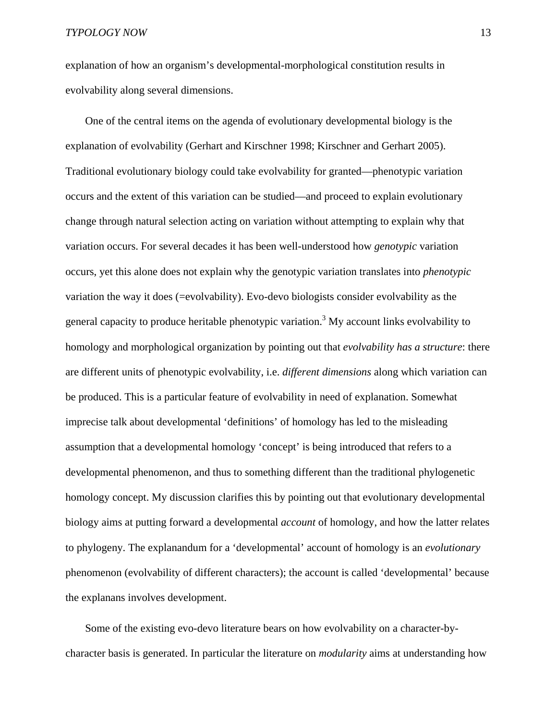explanation of how an organism's developmental-morphological constitution results in evolvability along several dimensions.

One of the central items on the agenda of evolutionary developmental biology is the explanation of evolvability (Gerhart and Kirschner 1998; Kirschner and Gerhart 2005). Traditional evolutionary biology could take evolvability for granted—phenotypic variation occurs and the extent of this variation can be studied—and proceed to explain evolutionary change through natural selection acting on variation without attempting to explain why that variation occurs. For several decades it has been well-understood how *genotypic* variation occurs, yet this alone does not explain why the genotypic variation translates into *phenotypic* variation the way it does (=evolvability). Evo-devo biologists consider evolvability as the general capacity to produce heritable phenotypic variation.<sup>3</sup> My account links evolvability to homology and morphological organization by pointing out that *evolvability has a structure*: there are different units of phenotypic evolvability, i.e. *different dimensions* along which variation can be produced. This is a particular feature of evolvability in need of explanation. Somewhat imprecise talk about developmental 'definitions' of homology has led to the misleading assumption that a developmental homology 'concept' is being introduced that refers to a developmental phenomenon, and thus to something different than the traditional phylogenetic homology concept. My discussion clarifies this by pointing out that evolutionary developmental biology aims at putting forward a developmental *account* of homology, and how the latter relates to phylogeny. The explanandum for a 'developmental' account of homology is an *evolutionary* phenomenon (evolvability of different characters); the account is called 'developmental' because the explanans involves development.

Some of the existing evo-devo literature bears on how evolvability on a character-bycharacter basis is generated. In particular the literature on *modularity* aims at understanding how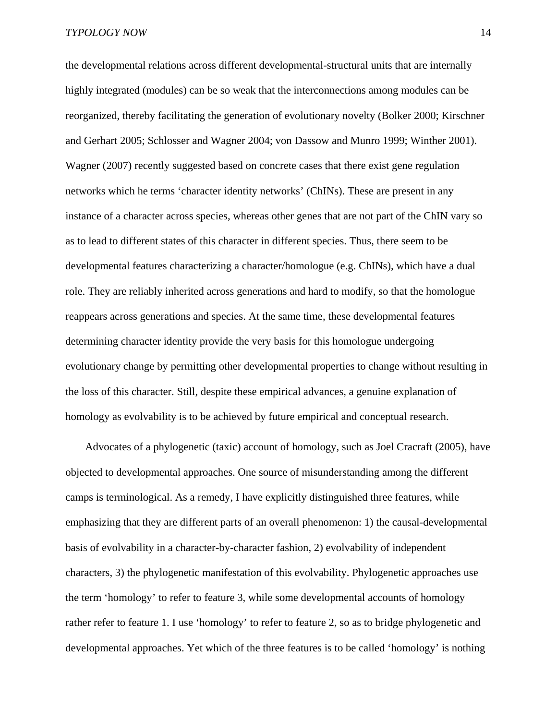the developmental relations across different developmental-structural units that are internally highly integrated (modules) can be so weak that the interconnections among modules can be reorganized, thereby facilitating the generation of evolutionary novelty (Bolker 2000; Kirschner and Gerhart 2005; Schlosser and Wagner 2004; von Dassow and Munro 1999; Winther 2001). Wagner (2007) recently suggested based on concrete cases that there exist gene regulation networks which he terms 'character identity networks' (ChINs). These are present in any instance of a character across species, whereas other genes that are not part of the ChIN vary so as to lead to different states of this character in different species. Thus, there seem to be developmental features characterizing a character/homologue (e.g. ChINs), which have a dual role. They are reliably inherited across generations and hard to modify, so that the homologue reappears across generations and species. At the same time, these developmental features determining character identity provide the very basis for this homologue undergoing evolutionary change by permitting other developmental properties to change without resulting in the loss of this character. Still, despite these empirical advances, a genuine explanation of homology as evolvability is to be achieved by future empirical and conceptual research.

Advocates of a phylogenetic (taxic) account of homology, such as Joel Cracraft (2005), have objected to developmental approaches. One source of misunderstanding among the different camps is terminological. As a remedy, I have explicitly distinguished three features, while emphasizing that they are different parts of an overall phenomenon: 1) the causal-developmental basis of evolvability in a character-by-character fashion, 2) evolvability of independent characters, 3) the phylogenetic manifestation of this evolvability. Phylogenetic approaches use the term 'homology' to refer to feature 3, while some developmental accounts of homology rather refer to feature 1. I use 'homology' to refer to feature 2, so as to bridge phylogenetic and developmental approaches. Yet which of the three features is to be called 'homology' is nothing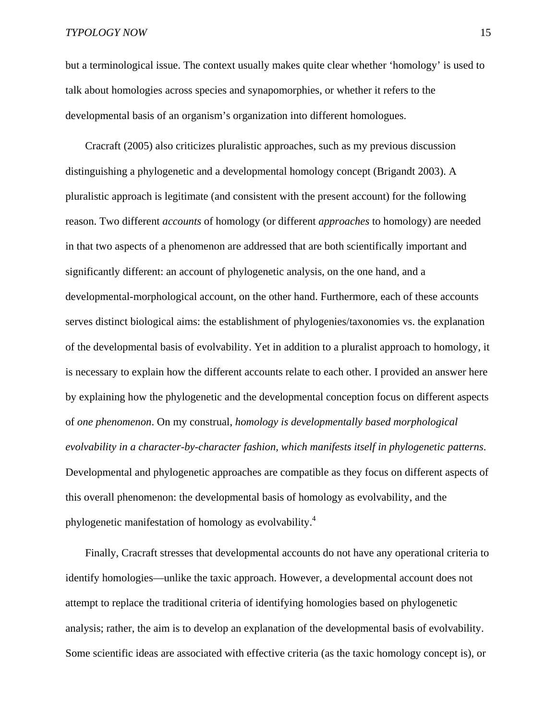but a terminological issue. The context usually makes quite clear whether 'homology' is used to talk about homologies across species and synapomorphies, or whether it refers to the developmental basis of an organism's organization into different homologues.

Cracraft (2005) also criticizes pluralistic approaches, such as my previous discussion distinguishing a phylogenetic and a developmental homology concept (Brigandt 2003). A pluralistic approach is legitimate (and consistent with the present account) for the following reason. Two different *accounts* of homology (or different *approaches* to homology) are needed in that two aspects of a phenomenon are addressed that are both scientifically important and significantly different: an account of phylogenetic analysis, on the one hand, and a developmental-morphological account, on the other hand. Furthermore, each of these accounts serves distinct biological aims: the establishment of phylogenies/taxonomies vs. the explanation of the developmental basis of evolvability. Yet in addition to a pluralist approach to homology, it is necessary to explain how the different accounts relate to each other. I provided an answer here by explaining how the phylogenetic and the developmental conception focus on different aspects of *one phenomenon*. On my construal, *homology is developmentally based morphological evolvability in a character-by-character fashion, which manifests itself in phylogenetic patterns*. Developmental and phylogenetic approaches are compatible as they focus on different aspects of this overall phenomenon: the developmental basis of homology as evolvability, and the phylogenetic manifestation of homology as evolvability.4

Finally, Cracraft stresses that developmental accounts do not have any operational criteria to identify homologies—unlike the taxic approach. However, a developmental account does not attempt to replace the traditional criteria of identifying homologies based on phylogenetic analysis; rather, the aim is to develop an explanation of the developmental basis of evolvability. Some scientific ideas are associated with effective criteria (as the taxic homology concept is), or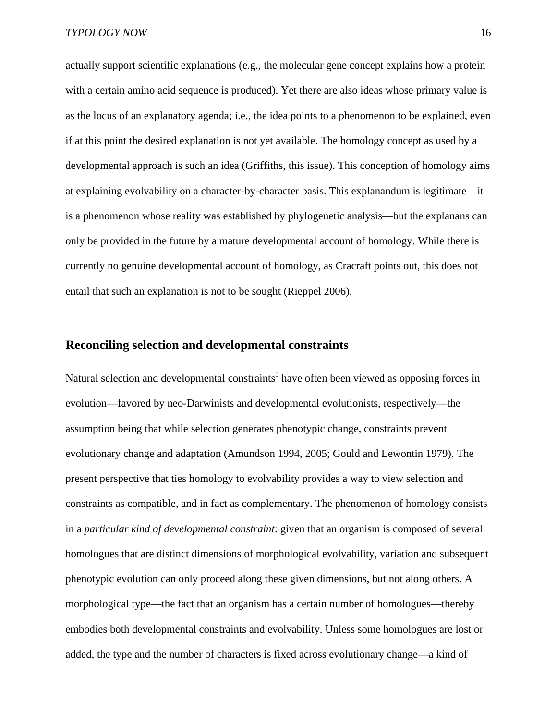actually support scientific explanations (e.g., the molecular gene concept explains how a protein with a certain amino acid sequence is produced). Yet there are also ideas whose primary value is as the locus of an explanatory agenda; i.e., the idea points to a phenomenon to be explained, even if at this point the desired explanation is not yet available. The homology concept as used by a developmental approach is such an idea (Griffiths, this issue). This conception of homology aims at explaining evolvability on a character-by-character basis. This explanandum is legitimate—it is a phenomenon whose reality was established by phylogenetic analysis—but the explanans can only be provided in the future by a mature developmental account of homology. While there is currently no genuine developmental account of homology, as Cracraft points out, this does not entail that such an explanation is not to be sought (Rieppel 2006).

#### **Reconciling selection and developmental constraints**

Natural selection and developmental constraints<sup>5</sup> have often been viewed as opposing forces in evolution—favored by neo-Darwinists and developmental evolutionists, respectively—the assumption being that while selection generates phenotypic change, constraints prevent evolutionary change and adaptation (Amundson 1994, 2005; Gould and Lewontin 1979). The present perspective that ties homology to evolvability provides a way to view selection and constraints as compatible, and in fact as complementary. The phenomenon of homology consists in a *particular kind of developmental constraint*: given that an organism is composed of several homologues that are distinct dimensions of morphological evolvability, variation and subsequent phenotypic evolution can only proceed along these given dimensions, but not along others. A morphological type—the fact that an organism has a certain number of homologues—thereby embodies both developmental constraints and evolvability. Unless some homologues are lost or added, the type and the number of characters is fixed across evolutionary change—a kind of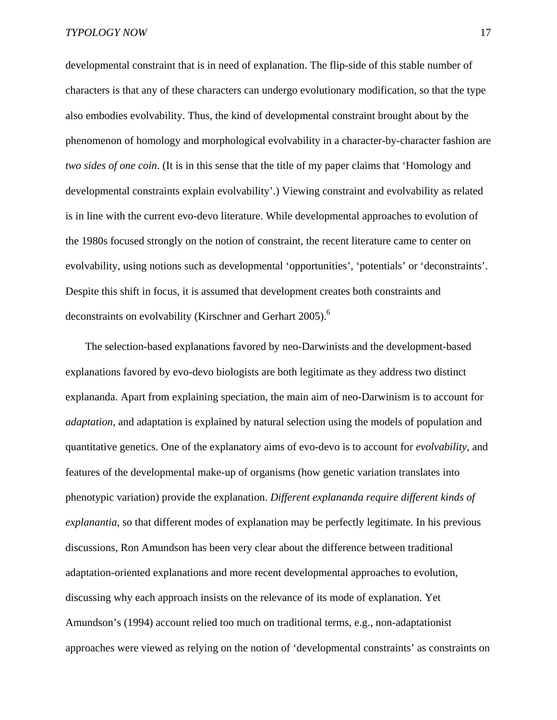developmental constraint that is in need of explanation. The flip-side of this stable number of characters is that any of these characters can undergo evolutionary modification, so that the type also embodies evolvability. Thus, the kind of developmental constraint brought about by the phenomenon of homology and morphological evolvability in a character-by-character fashion are *two sides of one coin*. (It is in this sense that the title of my paper claims that 'Homology and developmental constraints explain evolvability'.) Viewing constraint and evolvability as related is in line with the current evo-devo literature. While developmental approaches to evolution of the 1980s focused strongly on the notion of constraint, the recent literature came to center on evolvability, using notions such as developmental 'opportunities', 'potentials' or 'deconstraints'. Despite this shift in focus, it is assumed that development creates both constraints and deconstraints on evolvability (Kirschner and Gerhart 2005).<sup>6</sup>

The selection-based explanations favored by neo-Darwinists and the development-based explanations favored by evo-devo biologists are both legitimate as they address two distinct explananda. Apart from explaining speciation, the main aim of neo-Darwinism is to account for *adaptation*, and adaptation is explained by natural selection using the models of population and quantitative genetics. One of the explanatory aims of evo-devo is to account for *evolvability*, and features of the developmental make-up of organisms (how genetic variation translates into phenotypic variation) provide the explanation. *Different explananda require different kinds of explanantia*, so that different modes of explanation may be perfectly legitimate. In his previous discussions, Ron Amundson has been very clear about the difference between traditional adaptation-oriented explanations and more recent developmental approaches to evolution, discussing why each approach insists on the relevance of its mode of explanation. Yet Amundson's (1994) account relied too much on traditional terms, e.g., non-adaptationist approaches were viewed as relying on the notion of 'developmental constraints' as constraints on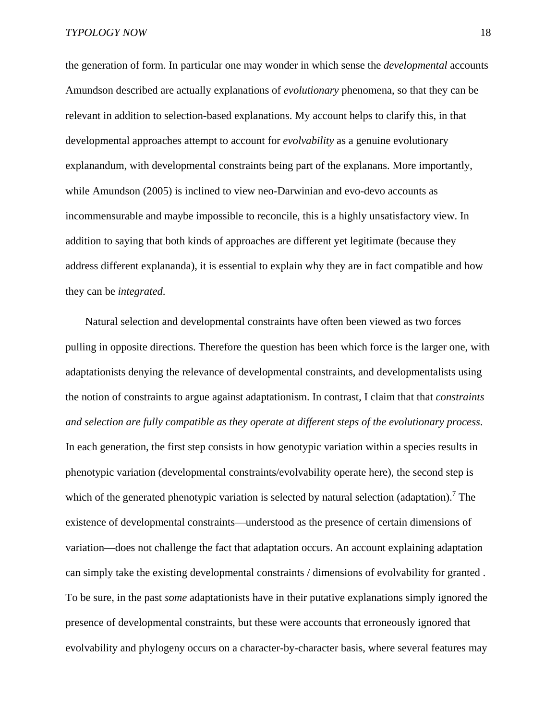the generation of form. In particular one may wonder in which sense the *developmental* accounts Amundson described are actually explanations of *evolutionary* phenomena, so that they can be relevant in addition to selection-based explanations. My account helps to clarify this, in that developmental approaches attempt to account for *evolvability* as a genuine evolutionary explanandum, with developmental constraints being part of the explanans. More importantly, while Amundson (2005) is inclined to view neo-Darwinian and evo-devo accounts as incommensurable and maybe impossible to reconcile, this is a highly unsatisfactory view. In addition to saying that both kinds of approaches are different yet legitimate (because they address different explananda), it is essential to explain why they are in fact compatible and how they can be *integrated*.

Natural selection and developmental constraints have often been viewed as two forces pulling in opposite directions. Therefore the question has been which force is the larger one, with adaptationists denying the relevance of developmental constraints, and developmentalists using the notion of constraints to argue against adaptationism. In contrast, I claim that that *constraints and selection are fully compatible as they operate at different steps of the evolutionary process*. In each generation, the first step consists in how genotypic variation within a species results in phenotypic variation (developmental constraints/evolvability operate here), the second step is which of the generated phenotypic variation is selected by natural selection (adaptation).<sup>7</sup> The existence of developmental constraints—understood as the presence of certain dimensions of variation—does not challenge the fact that adaptation occurs. An account explaining adaptation can simply take the existing developmental constraints / dimensions of evolvability for granted . To be sure, in the past *some* adaptationists have in their putative explanations simply ignored the presence of developmental constraints, but these were accounts that erroneously ignored that evolvability and phylogeny occurs on a character-by-character basis, where several features may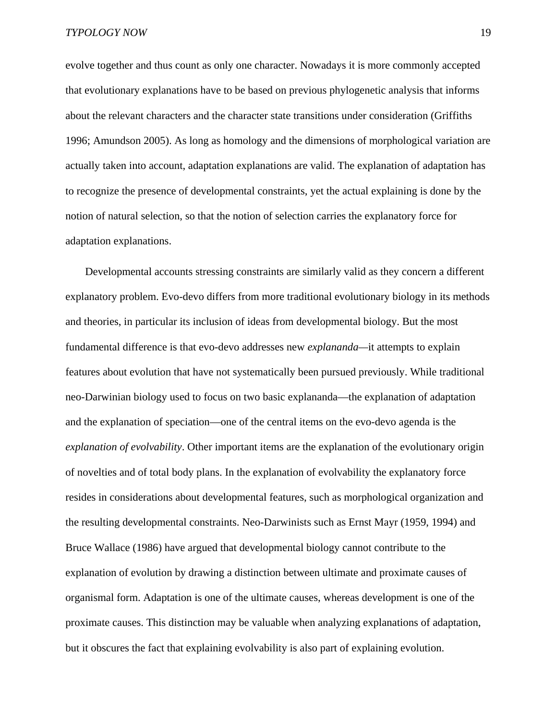evolve together and thus count as only one character. Nowadays it is more commonly accepted that evolutionary explanations have to be based on previous phylogenetic analysis that informs about the relevant characters and the character state transitions under consideration (Griffiths 1996; Amundson 2005). As long as homology and the dimensions of morphological variation are actually taken into account, adaptation explanations are valid. The explanation of adaptation has to recognize the presence of developmental constraints, yet the actual explaining is done by the notion of natural selection, so that the notion of selection carries the explanatory force for adaptation explanations.

Developmental accounts stressing constraints are similarly valid as they concern a different explanatory problem. Evo-devo differs from more traditional evolutionary biology in its methods and theories, in particular its inclusion of ideas from developmental biology. But the most fundamental difference is that evo-devo addresses new *explananda—*it attempts to explain features about evolution that have not systematically been pursued previously. While traditional neo-Darwinian biology used to focus on two basic explananda—the explanation of adaptation and the explanation of speciation—one of the central items on the evo-devo agenda is the *explanation of evolvability*. Other important items are the explanation of the evolutionary origin of novelties and of total body plans. In the explanation of evolvability the explanatory force resides in considerations about developmental features, such as morphological organization and the resulting developmental constraints. Neo-Darwinists such as Ernst Mayr (1959, 1994) and Bruce Wallace (1986) have argued that developmental biology cannot contribute to the explanation of evolution by drawing a distinction between ultimate and proximate causes of organismal form. Adaptation is one of the ultimate causes, whereas development is one of the proximate causes. This distinction may be valuable when analyzing explanations of adaptation, but it obscures the fact that explaining evolvability is also part of explaining evolution.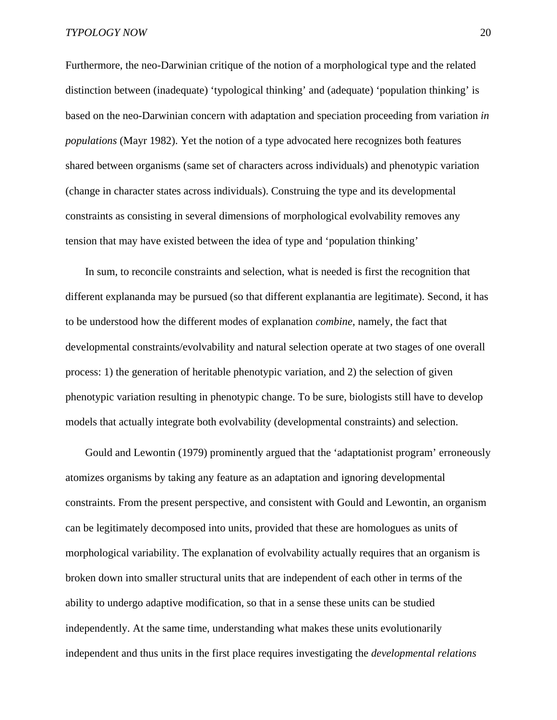Furthermore, the neo-Darwinian critique of the notion of a morphological type and the related distinction between (inadequate) 'typological thinking' and (adequate) 'population thinking' is based on the neo-Darwinian concern with adaptation and speciation proceeding from variation *in populations* (Mayr 1982). Yet the notion of a type advocated here recognizes both features shared between organisms (same set of characters across individuals) and phenotypic variation (change in character states across individuals). Construing the type and its developmental constraints as consisting in several dimensions of morphological evolvability removes any tension that may have existed between the idea of type and 'population thinking'

In sum, to reconcile constraints and selection, what is needed is first the recognition that different explananda may be pursued (so that different explanantia are legitimate). Second, it has to be understood how the different modes of explanation *combine*, namely, the fact that developmental constraints/evolvability and natural selection operate at two stages of one overall process: 1) the generation of heritable phenotypic variation, and 2) the selection of given phenotypic variation resulting in phenotypic change. To be sure, biologists still have to develop models that actually integrate both evolvability (developmental constraints) and selection.

Gould and Lewontin (1979) prominently argued that the 'adaptationist program' erroneously atomizes organisms by taking any feature as an adaptation and ignoring developmental constraints. From the present perspective, and consistent with Gould and Lewontin, an organism can be legitimately decomposed into units, provided that these are homologues as units of morphological variability. The explanation of evolvability actually requires that an organism is broken down into smaller structural units that are independent of each other in terms of the ability to undergo adaptive modification, so that in a sense these units can be studied independently. At the same time, understanding what makes these units evolutionarily independent and thus units in the first place requires investigating the *developmental relations*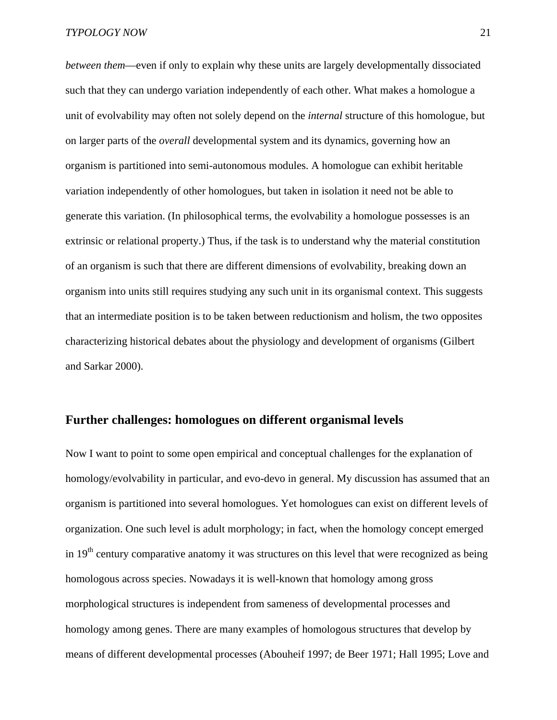*between them*—even if only to explain why these units are largely developmentally dissociated such that they can undergo variation independently of each other. What makes a homologue a unit of evolvability may often not solely depend on the *internal* structure of this homologue, but on larger parts of the *overall* developmental system and its dynamics, governing how an organism is partitioned into semi-autonomous modules. A homologue can exhibit heritable variation independently of other homologues, but taken in isolation it need not be able to generate this variation. (In philosophical terms, the evolvability a homologue possesses is an extrinsic or relational property.) Thus, if the task is to understand why the material constitution of an organism is such that there are different dimensions of evolvability, breaking down an organism into units still requires studying any such unit in its organismal context. This suggests that an intermediate position is to be taken between reductionism and holism, the two opposites characterizing historical debates about the physiology and development of organisms (Gilbert and Sarkar 2000).

# **Further challenges: homologues on different organismal levels**

Now I want to point to some open empirical and conceptual challenges for the explanation of homology/evolvability in particular, and evo-devo in general. My discussion has assumed that an organism is partitioned into several homologues. Yet homologues can exist on different levels of organization. One such level is adult morphology; in fact, when the homology concept emerged in  $19<sup>th</sup>$  century comparative anatomy it was structures on this level that were recognized as being homologous across species. Nowadays it is well-known that homology among gross morphological structures is independent from sameness of developmental processes and homology among genes. There are many examples of homologous structures that develop by means of different developmental processes (Abouheif 1997; de Beer 1971; Hall 1995; Love and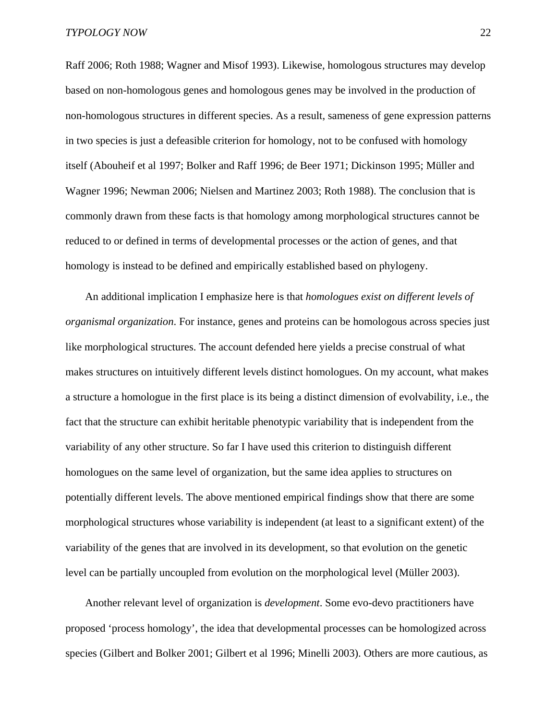Raff 2006; Roth 1988; Wagner and Misof 1993). Likewise, homologous structures may develop based on non-homologous genes and homologous genes may be involved in the production of non-homologous structures in different species. As a result, sameness of gene expression patterns in two species is just a defeasible criterion for homology, not to be confused with homology itself (Abouheif et al 1997; Bolker and Raff 1996; de Beer 1971; Dickinson 1995; Müller and Wagner 1996; Newman 2006; Nielsen and Martinez 2003; Roth 1988). The conclusion that is commonly drawn from these facts is that homology among morphological structures cannot be reduced to or defined in terms of developmental processes or the action of genes, and that homology is instead to be defined and empirically established based on phylogeny.

An additional implication I emphasize here is that *homologues exist on different levels of organismal organization*. For instance, genes and proteins can be homologous across species just like morphological structures. The account defended here yields a precise construal of what makes structures on intuitively different levels distinct homologues. On my account, what makes a structure a homologue in the first place is its being a distinct dimension of evolvability, i.e., the fact that the structure can exhibit heritable phenotypic variability that is independent from the variability of any other structure. So far I have used this criterion to distinguish different homologues on the same level of organization, but the same idea applies to structures on potentially different levels. The above mentioned empirical findings show that there are some morphological structures whose variability is independent (at least to a significant extent) of the variability of the genes that are involved in its development, so that evolution on the genetic level can be partially uncoupled from evolution on the morphological level (Müller 2003).

Another relevant level of organization is *development*. Some evo-devo practitioners have proposed 'process homology', the idea that developmental processes can be homologized across species (Gilbert and Bolker 2001; Gilbert et al 1996; Minelli 2003). Others are more cautious, as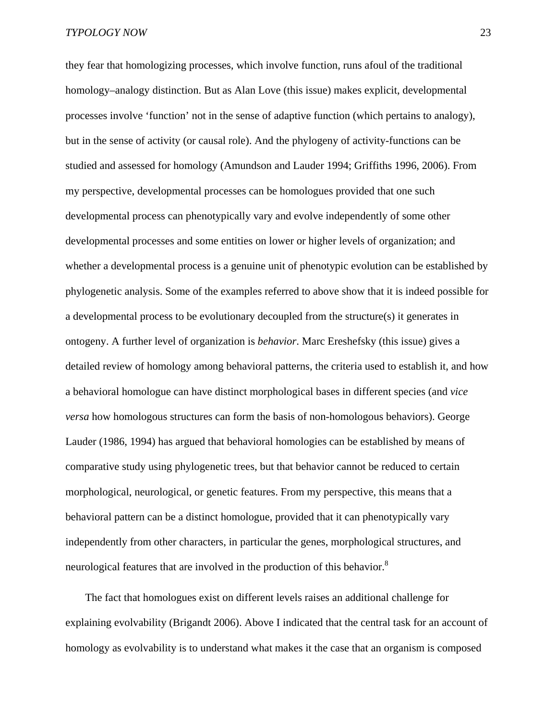they fear that homologizing processes, which involve function, runs afoul of the traditional homology–analogy distinction. But as Alan Love (this issue) makes explicit, developmental processes involve 'function' not in the sense of adaptive function (which pertains to analogy), but in the sense of activity (or causal role). And the phylogeny of activity-functions can be studied and assessed for homology (Amundson and Lauder 1994; Griffiths 1996, 2006). From my perspective, developmental processes can be homologues provided that one such developmental process can phenotypically vary and evolve independently of some other developmental processes and some entities on lower or higher levels of organization; and whether a developmental process is a genuine unit of phenotypic evolution can be established by phylogenetic analysis. Some of the examples referred to above show that it is indeed possible for a developmental process to be evolutionary decoupled from the structure(s) it generates in ontogeny. A further level of organization is *behavior*. Marc Ereshefsky (this issue) gives a detailed review of homology among behavioral patterns, the criteria used to establish it, and how a behavioral homologue can have distinct morphological bases in different species (and *vice versa* how homologous structures can form the basis of non-homologous behaviors). George Lauder (1986, 1994) has argued that behavioral homologies can be established by means of comparative study using phylogenetic trees, but that behavior cannot be reduced to certain morphological, neurological, or genetic features. From my perspective, this means that a behavioral pattern can be a distinct homologue, provided that it can phenotypically vary independently from other characters, in particular the genes, morphological structures, and neurological features that are involved in the production of this behavior.8

The fact that homologues exist on different levels raises an additional challenge for explaining evolvability (Brigandt 2006). Above I indicated that the central task for an account of homology as evolvability is to understand what makes it the case that an organism is composed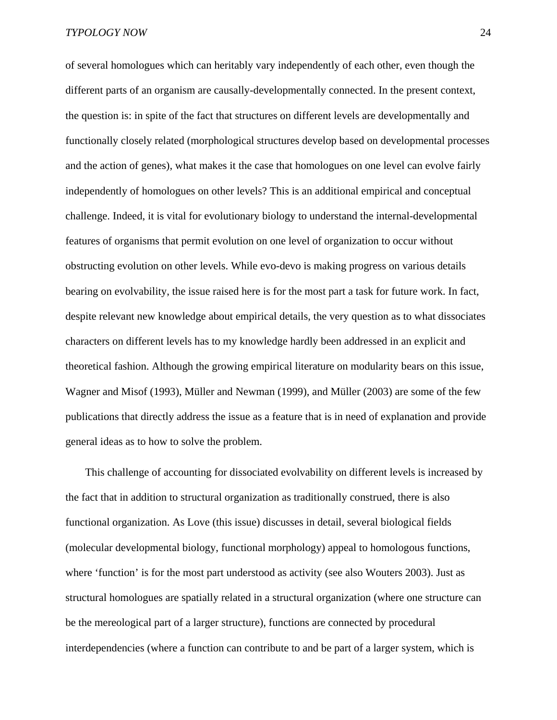of several homologues which can heritably vary independently of each other, even though the different parts of an organism are causally-developmentally connected. In the present context, the question is: in spite of the fact that structures on different levels are developmentally and functionally closely related (morphological structures develop based on developmental processes and the action of genes), what makes it the case that homologues on one level can evolve fairly independently of homologues on other levels? This is an additional empirical and conceptual challenge. Indeed, it is vital for evolutionary biology to understand the internal-developmental features of organisms that permit evolution on one level of organization to occur without obstructing evolution on other levels. While evo-devo is making progress on various details bearing on evolvability, the issue raised here is for the most part a task for future work. In fact, despite relevant new knowledge about empirical details, the very question as to what dissociates characters on different levels has to my knowledge hardly been addressed in an explicit and theoretical fashion. Although the growing empirical literature on modularity bears on this issue, Wagner and Misof (1993), Müller and Newman (1999), and Müller (2003) are some of the few publications that directly address the issue as a feature that is in need of explanation and provide general ideas as to how to solve the problem.

This challenge of accounting for dissociated evolvability on different levels is increased by the fact that in addition to structural organization as traditionally construed, there is also functional organization. As Love (this issue) discusses in detail, several biological fields (molecular developmental biology, functional morphology) appeal to homologous functions, where 'function' is for the most part understood as activity (see also Wouters 2003). Just as structural homologues are spatially related in a structural organization (where one structure can be the mereological part of a larger structure), functions are connected by procedural interdependencies (where a function can contribute to and be part of a larger system, which is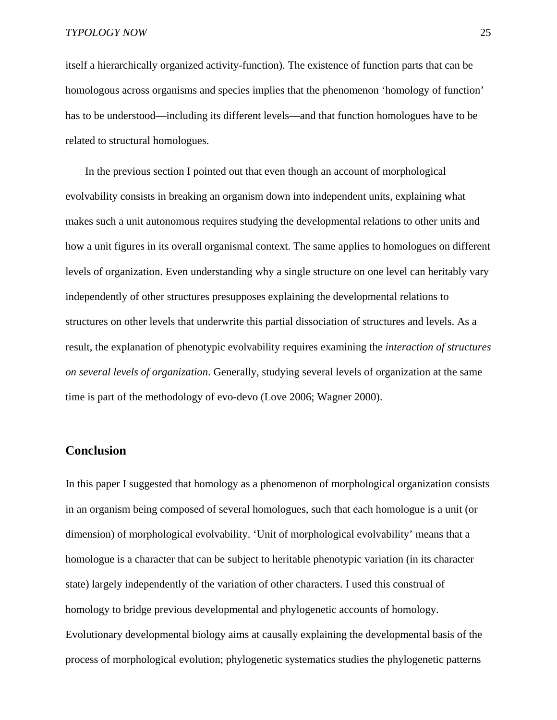itself a hierarchically organized activity-function). The existence of function parts that can be homologous across organisms and species implies that the phenomenon 'homology of function' has to be understood—including its different levels—and that function homologues have to be related to structural homologues.

In the previous section I pointed out that even though an account of morphological evolvability consists in breaking an organism down into independent units, explaining what makes such a unit autonomous requires studying the developmental relations to other units and how a unit figures in its overall organismal context. The same applies to homologues on different levels of organization. Even understanding why a single structure on one level can heritably vary independently of other structures presupposes explaining the developmental relations to structures on other levels that underwrite this partial dissociation of structures and levels. As a result, the explanation of phenotypic evolvability requires examining the *interaction of structures on several levels of organization*. Generally, studying several levels of organization at the same time is part of the methodology of evo-devo (Love 2006; Wagner 2000).

# **Conclusion**

In this paper I suggested that homology as a phenomenon of morphological organization consists in an organism being composed of several homologues, such that each homologue is a unit (or dimension) of morphological evolvability. 'Unit of morphological evolvability' means that a homologue is a character that can be subject to heritable phenotypic variation (in its character state) largely independently of the variation of other characters. I used this construal of homology to bridge previous developmental and phylogenetic accounts of homology. Evolutionary developmental biology aims at causally explaining the developmental basis of the process of morphological evolution; phylogenetic systematics studies the phylogenetic patterns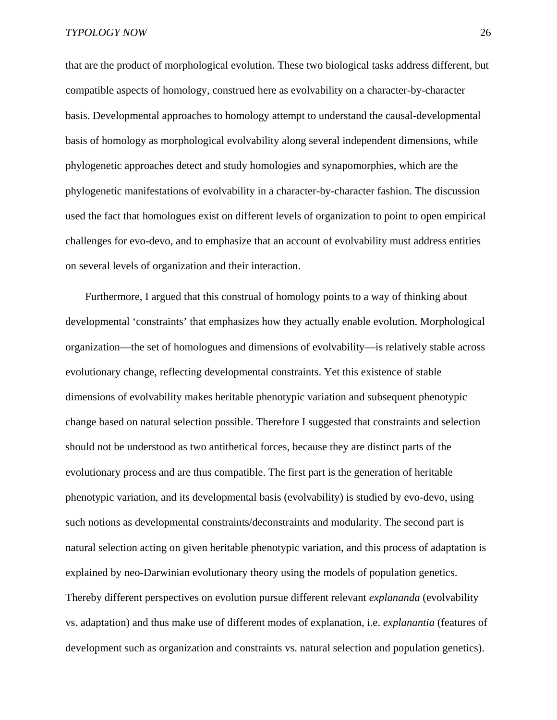that are the product of morphological evolution. These two biological tasks address different, but compatible aspects of homology, construed here as evolvability on a character-by-character basis. Developmental approaches to homology attempt to understand the causal-developmental basis of homology as morphological evolvability along several independent dimensions, while phylogenetic approaches detect and study homologies and synapomorphies, which are the phylogenetic manifestations of evolvability in a character-by-character fashion. The discussion used the fact that homologues exist on different levels of organization to point to open empirical challenges for evo-devo, and to emphasize that an account of evolvability must address entities on several levels of organization and their interaction.

Furthermore, I argued that this construal of homology points to a way of thinking about developmental 'constraints' that emphasizes how they actually enable evolution. Morphological organization—the set of homologues and dimensions of evolvability—is relatively stable across evolutionary change, reflecting developmental constraints. Yet this existence of stable dimensions of evolvability makes heritable phenotypic variation and subsequent phenotypic change based on natural selection possible. Therefore I suggested that constraints and selection should not be understood as two antithetical forces, because they are distinct parts of the evolutionary process and are thus compatible. The first part is the generation of heritable phenotypic variation, and its developmental basis (evolvability) is studied by evo-devo, using such notions as developmental constraints/deconstraints and modularity. The second part is natural selection acting on given heritable phenotypic variation, and this process of adaptation is explained by neo-Darwinian evolutionary theory using the models of population genetics. Thereby different perspectives on evolution pursue different relevant *explananda* (evolvability vs. adaptation) and thus make use of different modes of explanation, i.e. *explanantia* (features of development such as organization and constraints vs. natural selection and population genetics).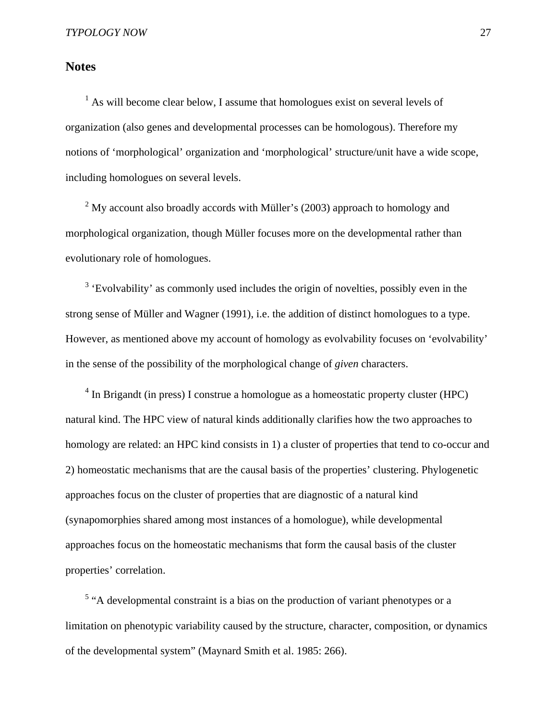#### **Notes**

<sup>1</sup> As will become clear below, I assume that homologues exist on several levels of organization (also genes and developmental processes can be homologous). Therefore my notions of 'morphological' organization and 'morphological' structure/unit have a wide scope, including homologues on several levels.

 $2^2$  My account also broadly accords with Müller's (2003) approach to homology and morphological organization, though Müller focuses more on the developmental rather than evolutionary role of homologues.

 $3$  'Evolvability' as commonly used includes the origin of novelties, possibly even in the strong sense of Müller and Wagner (1991), i.e. the addition of distinct homologues to a type. However, as mentioned above my account of homology as evolvability focuses on 'evolvability' in the sense of the possibility of the morphological change of *given* characters.

 $4$  In Brigandt (in press) I construe a homologue as a homeostatic property cluster (HPC) natural kind. The HPC view of natural kinds additionally clarifies how the two approaches to homology are related: an HPC kind consists in 1) a cluster of properties that tend to co-occur and 2) homeostatic mechanisms that are the causal basis of the properties' clustering. Phylogenetic approaches focus on the cluster of properties that are diagnostic of a natural kind (synapomorphies shared among most instances of a homologue), while developmental approaches focus on the homeostatic mechanisms that form the causal basis of the cluster properties' correlation.

<sup>5</sup> "A developmental constraint is a bias on the production of variant phenotypes or a limitation on phenotypic variability caused by the structure, character, composition, or dynamics of the developmental system" (Maynard Smith et al. 1985: 266).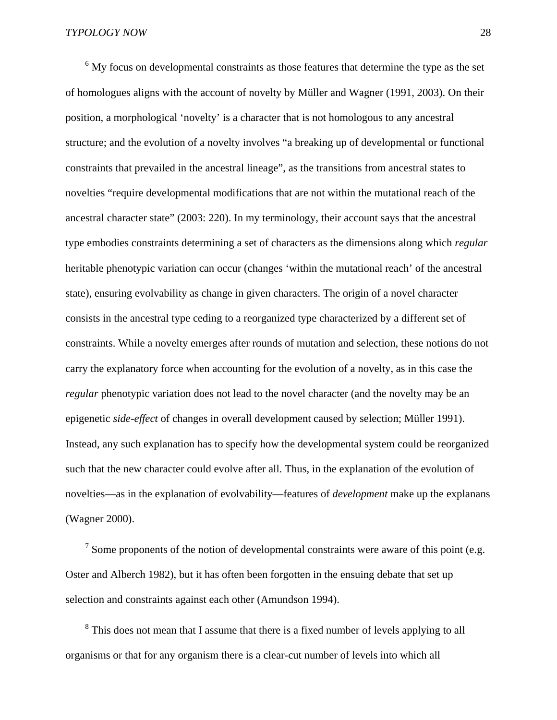$6$  My focus on developmental constraints as those features that determine the type as the set of homologues aligns with the account of novelty by Müller and Wagner (1991, 2003). On their position, a morphological 'novelty' is a character that is not homologous to any ancestral structure; and the evolution of a novelty involves "a breaking up of developmental or functional constraints that prevailed in the ancestral lineage", as the transitions from ancestral states to novelties "require developmental modifications that are not within the mutational reach of the ancestral character state" (2003: 220). In my terminology, their account says that the ancestral type embodies constraints determining a set of characters as the dimensions along which *regular* heritable phenotypic variation can occur (changes 'within the mutational reach' of the ancestral state), ensuring evolvability as change in given characters. The origin of a novel character consists in the ancestral type ceding to a reorganized type characterized by a different set of constraints. While a novelty emerges after rounds of mutation and selection, these notions do not carry the explanatory force when accounting for the evolution of a novelty, as in this case the *regular* phenotypic variation does not lead to the novel character (and the novelty may be an epigenetic *side-effect* of changes in overall development caused by selection; Müller 1991). Instead, any such explanation has to specify how the developmental system could be reorganized such that the new character could evolve after all. Thus, in the explanation of the evolution of novelties—as in the explanation of evolvability—features of *development* make up the explanans (Wagner 2000).

<sup>7</sup> Some proponents of the notion of developmental constraints were aware of this point (e.g. Oster and Alberch 1982), but it has often been forgotten in the ensuing debate that set up selection and constraints against each other (Amundson 1994).

<sup>8</sup> This does not mean that I assume that there is a fixed number of levels applying to all organisms or that for any organism there is a clear-cut number of levels into which all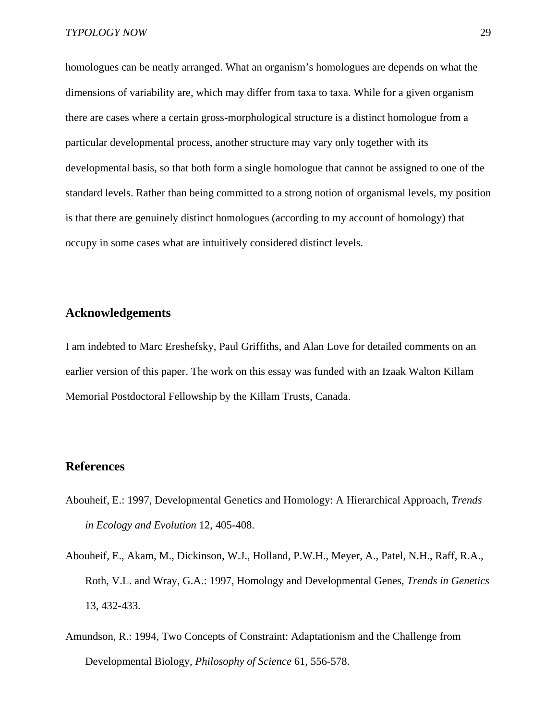homologues can be neatly arranged. What an organism's homologues are depends on what the dimensions of variability are, which may differ from taxa to taxa. While for a given organism there are cases where a certain gross-morphological structure is a distinct homologue from a particular developmental process, another structure may vary only together with its developmental basis, so that both form a single homologue that cannot be assigned to one of the standard levels. Rather than being committed to a strong notion of organismal levels, my position is that there are genuinely distinct homologues (according to my account of homology) that occupy in some cases what are intuitively considered distinct levels.

# **Acknowledgements**

I am indebted to Marc Ereshefsky, Paul Griffiths, and Alan Love for detailed comments on an earlier version of this paper. The work on this essay was funded with an Izaak Walton Killam Memorial Postdoctoral Fellowship by the Killam Trusts, Canada.

# **References**

- Abouheif, E.: 1997, Developmental Genetics and Homology: A Hierarchical Approach, *Trends in Ecology and Evolution* 12, 405-408.
- Abouheif, E., Akam, M., Dickinson, W.J., Holland, P.W.H., Meyer, A., Patel, N.H., Raff, R.A., Roth, V.L. and Wray, G.A.: 1997, Homology and Developmental Genes, *Trends in Genetics*  13, 432-433.
- Amundson, R.: 1994, Two Concepts of Constraint: Adaptationism and the Challenge from Developmental Biology, *Philosophy of Science* 61, 556-578.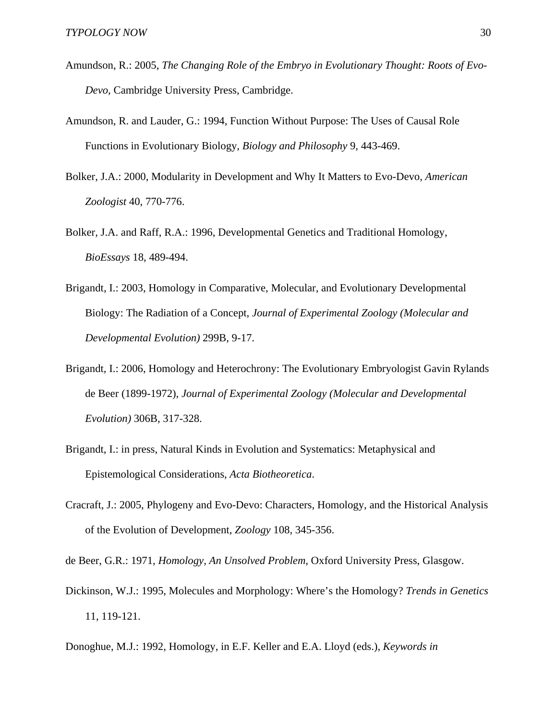- Amundson, R.: 2005, *The Changing Role of the Embryo in Evolutionary Thought: Roots of Evo-Devo*, Cambridge University Press, Cambridge.
- Amundson, R. and Lauder, G.: 1994, Function Without Purpose: The Uses of Causal Role Functions in Evolutionary Biology, *Biology and Philosophy* 9, 443-469.
- Bolker, J.A.: 2000, Modularity in Development and Why It Matters to Evo-Devo, *American Zoologist* 40, 770-776.
- Bolker, J.A. and Raff, R.A.: 1996, Developmental Genetics and Traditional Homology, *BioEssays* 18, 489-494.
- Brigandt, I.: 2003, Homology in Comparative, Molecular, and Evolutionary Developmental Biology: The Radiation of a Concept, *Journal of Experimental Zoology (Molecular and Developmental Evolution)* 299B, 9-17.
- Brigandt, I.: 2006, Homology and Heterochrony: The Evolutionary Embryologist Gavin Rylands de Beer (1899-1972), *Journal of Experimental Zoology (Molecular and Developmental Evolution)* 306B, 317-328.
- Brigandt, I.: in press, Natural Kinds in Evolution and Systematics: Metaphysical and Epistemological Considerations, *Acta Biotheoretica*.
- Cracraft, J.: 2005, Phylogeny and Evo-Devo: Characters, Homology, and the Historical Analysis of the Evolution of Development, *Zoology* 108, 345-356.

de Beer, G.R.: 1971, *Homology, An Unsolved Problem*, Oxford University Press, Glasgow.

- Dickinson, W.J.: 1995, Molecules and Morphology: Where's the Homology? *Trends in Genetics*  11, 119-121.
- Donoghue, M.J.: 1992, Homology, in E.F. Keller and E.A. Lloyd (eds.), *Keywords in*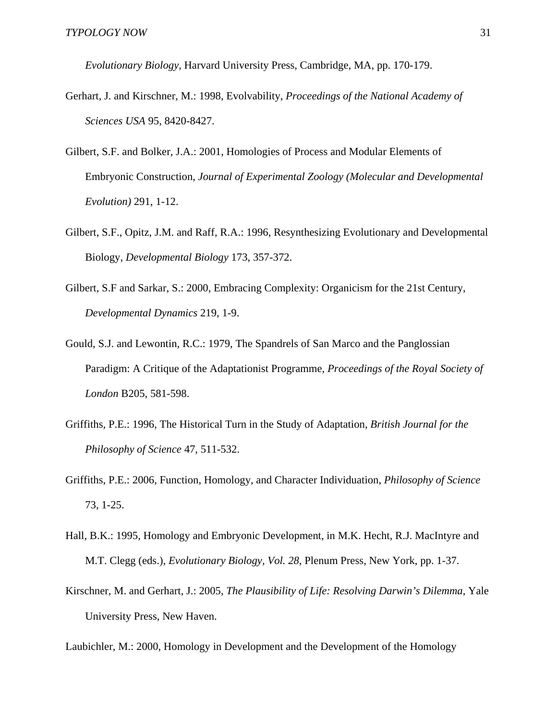*Evolutionary Biology*, Harvard University Press, Cambridge, MA, pp. 170-179.

- Gerhart, J. and Kirschner, M.: 1998, Evolvability, *Proceedings of the National Academy of Sciences USA* 95, 8420-8427.
- Gilbert, S.F. and Bolker, J.A.: 2001, Homologies of Process and Modular Elements of Embryonic Construction, *Journal of Experimental Zoology (Molecular and Developmental Evolution)* 291, 1-12.
- Gilbert, S.F., Opitz, J.M. and Raff, R.A.: 1996, Resynthesizing Evolutionary and Developmental Biology, *Developmental Biology* 173, 357-372.
- Gilbert, S.F and Sarkar, S.: 2000, Embracing Complexity: Organicism for the 21st Century, *Developmental Dynamics* 219, 1-9.
- Gould, S.J. and Lewontin, R.C.: 1979, The Spandrels of San Marco and the Panglossian Paradigm: A Critique of the Adaptationist Programme, *Proceedings of the Royal Society of London* B205, 581-598.
- Griffiths, P.E.: 1996, The Historical Turn in the Study of Adaptation, *British Journal for the Philosophy of Science* 47, 511-532.
- Griffiths, P.E.: 2006, Function, Homology, and Character Individuation, *Philosophy of Science*  73, 1-25.
- Hall, B.K.: 1995, Homology and Embryonic Development, in M.K. Hecht, R.J. MacIntyre and M.T. Clegg (eds.), *Evolutionary Biology, Vol. 28*, Plenum Press, New York, pp. 1-37.
- Kirschner, M. and Gerhart, J.: 2005, *The Plausibility of Life: Resolving Darwin's Dilemma*, Yale University Press, New Haven.

Laubichler, M.: 2000, Homology in Development and the Development of the Homology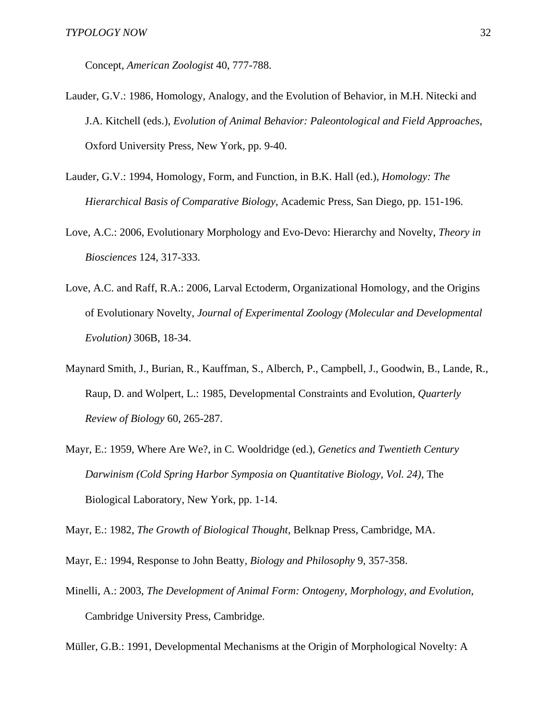Concept, *American Zoologist* 40, 777-788.

- Lauder, G.V.: 1986, Homology, Analogy, and the Evolution of Behavior, in M.H. Nitecki and J.A. Kitchell (eds.), *Evolution of Animal Behavior: Paleontological and Field Approaches*, Oxford University Press, New York, pp. 9-40.
- Lauder, G.V.: 1994, Homology, Form, and Function, in B.K. Hall (ed.), *Homology: The Hierarchical Basis of Comparative Biology*, Academic Press, San Diego, pp. 151-196.
- Love, A.C.: 2006, Evolutionary Morphology and Evo-Devo: Hierarchy and Novelty, *Theory in Biosciences* 124, 317-333.
- Love, A.C. and Raff, R.A.: 2006, Larval Ectoderm, Organizational Homology, and the Origins of Evolutionary Novelty, *Journal of Experimental Zoology (Molecular and Developmental Evolution)* 306B, 18-34.
- Maynard Smith, J., Burian, R., Kauffman, S., Alberch, P., Campbell, J., Goodwin, B., Lande, R., Raup, D. and Wolpert, L.: 1985, Developmental Constraints and Evolution, *Quarterly Review of Biology* 60, 265-287.
- Mayr, E.: 1959, Where Are We?, in C. Wooldridge (ed.), *Genetics and Twentieth Century Darwinism (Cold Spring Harbor Symposia on Quantitative Biology, Vol. 24)*, The Biological Laboratory, New York, pp. 1-14.

Mayr, E.: 1982, *The Growth of Biological Thought*, Belknap Press, Cambridge, MA.

- Mayr, E.: 1994, Response to John Beatty, *Biology and Philosophy* 9, 357-358.
- Minelli, A.: 2003, *The Development of Animal Form: Ontogeny, Morphology, and Evolution*, Cambridge University Press, Cambridge.

Müller, G.B.: 1991, Developmental Mechanisms at the Origin of Morphological Novelty: A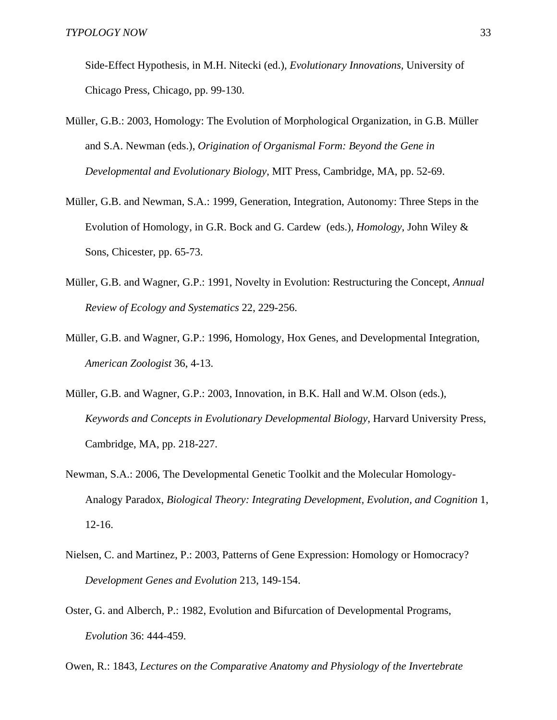Side-Effect Hypothesis, in M.H. Nitecki (ed.), *Evolutionary Innovations,* University of Chicago Press, Chicago, pp. 99-130.

- Müller, G.B.: 2003, Homology: The Evolution of Morphological Organization, in G.B. Müller and S.A. Newman (eds.), *Origination of Organismal Form: Beyond the Gene in Developmental and Evolutionary Biology*, MIT Press, Cambridge, MA, pp. 52-69.
- Müller, G.B. and Newman, S.A.: 1999, Generation, Integration, Autonomy: Three Steps in the Evolution of Homology, in G.R. Bock and G. Cardew (eds.), *Homology*, John Wiley & Sons, Chicester, pp. 65-73.
- Müller, G.B. and Wagner, G.P.: 1991, Novelty in Evolution: Restructuring the Concept, *Annual Review of Ecology and Systematics* 22, 229-256.
- Müller, G.B. and Wagner, G.P.: 1996, Homology, Hox Genes, and Developmental Integration, *American Zoologist* 36, 4-13.
- Müller, G.B. and Wagner, G.P.: 2003, Innovation, in B.K. Hall and W.M. Olson (eds.), *Keywords and Concepts in Evolutionary Developmental Biology*, Harvard University Press, Cambridge, MA, pp. 218-227.
- Newman, S.A.: 2006, The Developmental Genetic Toolkit and the Molecular Homology-Analogy Paradox, *Biological Theory: Integrating Development, Evolution, and Cognition* 1, 12-16.
- Nielsen, C. and Martinez, P.: 2003, Patterns of Gene Expression: Homology or Homocracy? *Development Genes and Evolution* 213, 149-154.
- Oster, G. and Alberch, P.: 1982, Evolution and Bifurcation of Developmental Programs, *Evolution* 36: 444-459.
- Owen, R.: 1843, *Lectures on the Comparative Anatomy and Physiology of the Invertebrate*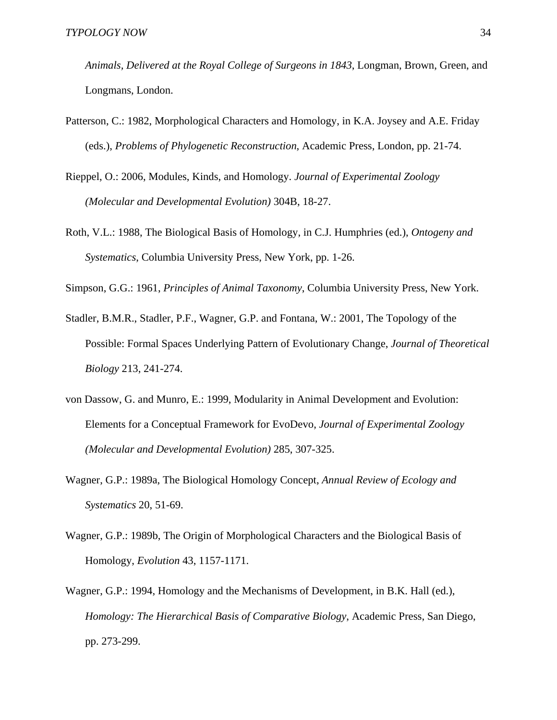*Animals, Delivered at the Royal College of Surgeons in 1843*, Longman, Brown, Green, and Longmans, London.

- Patterson, C.: 1982, Morphological Characters and Homology, in K.A. Joysey and A.E. Friday (eds.), *Problems of Phylogenetic Reconstruction*, Academic Press, London, pp. 21-74.
- Rieppel, O.: 2006, Modules, Kinds, and Homology. *Journal of Experimental Zoology (Molecular and Developmental Evolution)* 304B, 18-27.
- Roth, V.L.: 1988, The Biological Basis of Homology, in C.J. Humphries (ed.), *Ontogeny and Systematics*, Columbia University Press, New York, pp. 1-26.

Simpson, G.G.: 1961, *Principles of Animal Taxonomy*, Columbia University Press, New York.

- Stadler, B.M.R., Stadler, P.F., Wagner, G.P. and Fontana, W.: 2001, The Topology of the Possible: Formal Spaces Underlying Pattern of Evolutionary Change, *Journal of Theoretical Biology* 213, 241-274.
- von Dassow, G. and Munro, E.: 1999, Modularity in Animal Development and Evolution: Elements for a Conceptual Framework for EvoDevo, *Journal of Experimental Zoology (Molecular and Developmental Evolution)* 285, 307-325.
- Wagner, G.P.: 1989a, The Biological Homology Concept, *Annual Review of Ecology and Systematics* 20, 51-69.
- Wagner, G.P.: 1989b, The Origin of Morphological Characters and the Biological Basis of Homology, *Evolution* 43, 1157-1171.
- Wagner, G.P.: 1994, Homology and the Mechanisms of Development, in B.K. Hall (ed.), *Homology: The Hierarchical Basis of Comparative Biology*, Academic Press, San Diego, pp. 273-299.